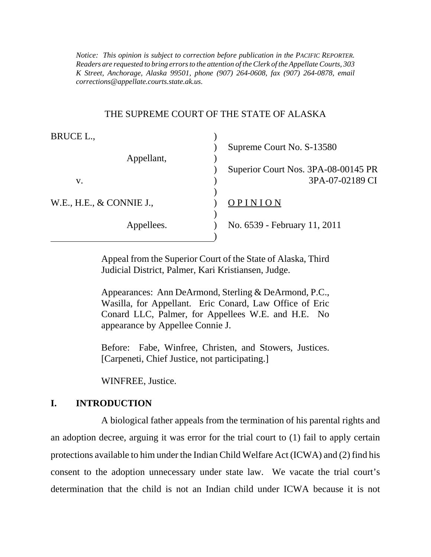*Notice: This opinion is subject to correction before publication in the PACIFIC REPORTER. Readers are requested to bring errors to the attention of the Clerk of the Appellate Courts, 303 K Street, Anchorage, Alaska 99501, phone (907) 264-0608, fax (907) 264-0878, email corrections@appellate.courts.state.ak.us*.

#### THE SUPREME COURT OF THE STATE OF ALASKA

| BRUCE L.,                |                                     |
|--------------------------|-------------------------------------|
|                          | Supreme Court No. S-13580           |
| Appellant,               |                                     |
|                          | Superior Court Nos. 3PA-08-00145 PR |
| v.                       | 3PA-07-02189 CI                     |
|                          |                                     |
| W.E., H.E., & CONNIE J., | OPINION                             |
|                          |                                     |
| Appellees.               | No. 6539 - February 11, 2011        |
|                          |                                     |

Appeal from the Superior Court of the State of Alaska, Third Judicial District, Palmer, Kari Kristiansen, Judge.

Appearances: Ann DeArmond, Sterling & DeArmond, P.C., Wasilla, for Appellant. Eric Conard, Law Office of Eric Conard LLC, Palmer, for Appellees W.E. and H.E. No appearance by Appellee Connie J.

Before: Fabe, Winfree, Christen, and Stowers, Justices. [Carpeneti, Chief Justice, not participating.]

WINFREE, Justice.

#### **I. INTRODUCTION**

A biological father appeals from the termination of his parental rights and an adoption decree, arguing it was error for the trial court to (1) fail to apply certain protections available to him under the Indian Child Welfare Act (ICWA) and (2) find his consent to the adoption unnecessary under state law. We vacate the trial court's determination that the child is not an Indian child under ICWA because it is not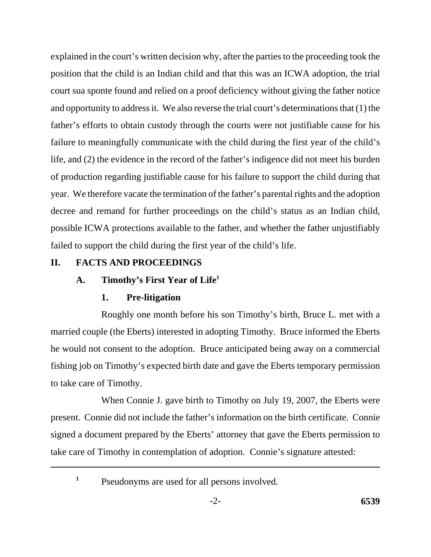explained in the court's written decision why, after the parties to the proceeding took the position that the child is an Indian child and that this was an ICWA adoption, the trial court sua sponte found and relied on a proof deficiency without giving the father notice and opportunity to address it. We also reverse the trial court's determinations that (1) the father's efforts to obtain custody through the courts were not justifiable cause for his failure to meaningfully communicate with the child during the first year of the child's life, and (2) the evidence in the record of the father's indigence did not meet his burden of production regarding justifiable cause for his failure to support the child during that year. We therefore vacate the termination of the father's parental rights and the adoption decree and remand for further proceedings on the child's status as an Indian child, possible ICWA protections available to the father, and whether the father unjustifiably failed to support the child during the first year of the child's life.

## **II. FACTS AND PROCEEDINGS**

## **A. Timothy's First Year of Life1**

## **1. Pre-litigation**

Roughly one month before his son Timothy's birth, Bruce L. met with a married couple (the Eberts) interested in adopting Timothy. Bruce informed the Eberts he would not consent to the adoption. Bruce anticipated being away on a commercial fishing job on Timothy's expected birth date and gave the Eberts temporary permission to take care of Timothy.

When Connie J. gave birth to Timothy on July 19, 2007, the Eberts were present. Connie did not include the father's information on the birth certificate. Connie signed a document prepared by the Eberts' attorney that gave the Eberts permission to take care of Timothy in contemplation of adoption. Connie's signature attested:

<sup>1</sup> Pseudonyms are used for all persons involved.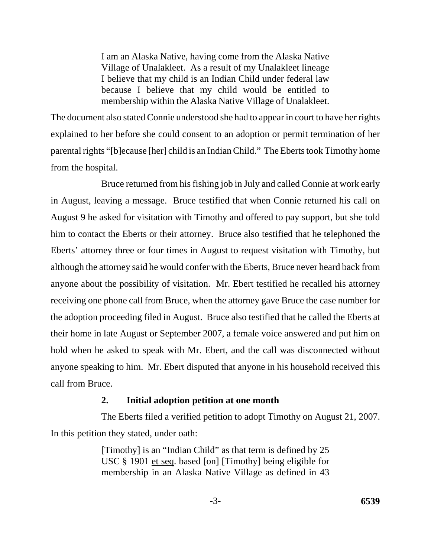I am an Alaska Native, having come from the Alaska Native Village of Unalakleet. As a result of my Unalakleet lineage I believe that my child is an Indian Child under federal law because I believe that my child would be entitled to membership within the Alaska Native Village of Unalakleet.

The document also stated Connie understood she had to appear in court to have her rights explained to her before she could consent to an adoption or permit termination of her parental rights "[b]ecause [her] child is an Indian Child." The Eberts took Timothy home from the hospital.

Bruce returned from his fishing job in July and called Connie at work early in August, leaving a message. Bruce testified that when Connie returned his call on August 9 he asked for visitation with Timothy and offered to pay support, but she told him to contact the Eberts or their attorney. Bruce also testified that he telephoned the Eberts' attorney three or four times in August to request visitation with Timothy, but although the attorney said he would confer with the Eberts, Bruce never heard back from anyone about the possibility of visitation. Mr. Ebert testified he recalled his attorney receiving one phone call from Bruce, when the attorney gave Bruce the case number for the adoption proceeding filed in August. Bruce also testified that he called the Eberts at their home in late August or September 2007, a female voice answered and put him on hold when he asked to speak with Mr. Ebert, and the call was disconnected without anyone speaking to him. Mr. Ebert disputed that anyone in his household received this call from Bruce.

## **2. Initial adoption petition at one month**

The Eberts filed a verified petition to adopt Timothy on August 21, 2007. In this petition they stated, under oath:

> [Timothy] is an "Indian Child" as that term is defined by 25 USC § 1901 et seq. based [on] [Timothy] being eligible for membership in an Alaska Native Village as defined in 43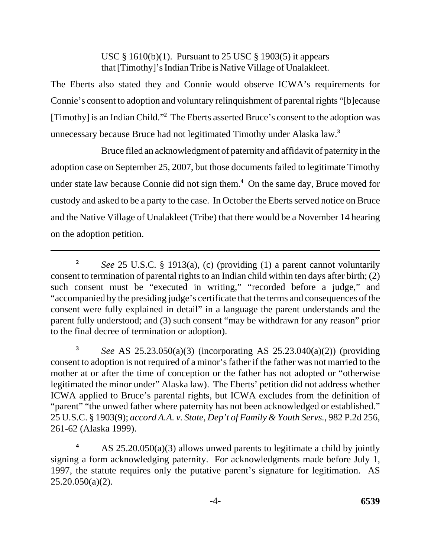USC § 1610(b)(1). Pursuant to 25 USC § 1903(5) it appears that [Timothy]'s Indian Tribe is Native Village of Unalakleet.

The Eberts also stated they and Connie would observe ICWA's requirements for Connie's consent to adoption and voluntary relinquishment of parental rights "[b]ecause [Timothy] is an Indian Child."**<sup>2</sup>** The Eberts asserted Bruce's consent to the adoption was unnecessary because Bruce had not legitimated Timothy under Alaska law.**<sup>3</sup>**

Bruce filed an acknowledgment of paternity and affidavit of paternity in the adoption case on September 25, 2007, but those documents failed to legitimate Timothy under state law because Connie did not sign them.**<sup>4</sup>** On the same day, Bruce moved for custody and asked to be a party to the case. In October the Eberts served notice on Bruce and the Native Village of Unalakleet (Tribe) that there would be a November 14 hearing on the adoption petition.

**<sup>2</sup>***See* 25 U.S.C. § 1913(a), (c) (providing (1) a parent cannot voluntarily consent to termination of parental rights to an Indian child within ten days after birth; (2) such consent must be "executed in writing," "recorded before a judge," and "accompanied by the presiding judge's certificate that the terms and consequences of the consent were fully explained in detail" in a language the parent understands and the parent fully understood; and (3) such consent "may be withdrawn for any reason" prior to the final decree of termination or adoption).

**<sup>3</sup>***See* AS 25.23.050(a)(3) (incorporating AS 25.23.040(a)(2)) (providing consent to adoption is not required of a minor's father if the father was not married to the mother at or after the time of conception or the father has not adopted or "otherwise legitimated the minor under" Alaska law). The Eberts' petition did not address whether ICWA applied to Bruce's parental rights, but ICWA excludes from the definition of "parent" "the unwed father where paternity has not been acknowledged or established." 25 U.S.C. § 1903(9); *accord A.A. v. State, Dep't of Family & Youth Servs.*, 982 P.2d 256, 261-62 (Alaska 1999).

**<sup>4</sup>**AS 25.20.050(a)(3) allows unwed parents to legitimate a child by jointly signing a form acknowledging paternity. For acknowledgments made before July 1, 1997, the statute requires only the putative parent's signature for legitimation. AS  $25.20.050(a)(2)$ .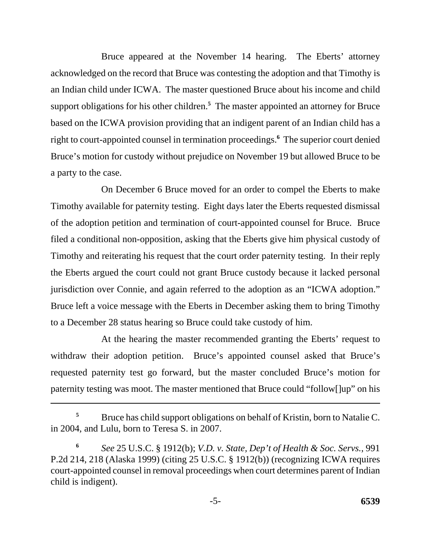Bruce appeared at the November 14 hearing. The Eberts' attorney acknowledged on the record that Bruce was contesting the adoption and that Timothy is an Indian child under ICWA. The master questioned Bruce about his income and child support obligations for his other children.**<sup>5</sup>** The master appointed an attorney for Bruce based on the ICWA provision providing that an indigent parent of an Indian child has a right to court-appointed counsel in termination proceedings.**<sup>6</sup>** The superior court denied Bruce's motion for custody without prejudice on November 19 but allowed Bruce to be a party to the case.

On December 6 Bruce moved for an order to compel the Eberts to make Timothy available for paternity testing. Eight days later the Eberts requested dismissal of the adoption petition and termination of court-appointed counsel for Bruce. Bruce filed a conditional non-opposition, asking that the Eberts give him physical custody of Timothy and reiterating his request that the court order paternity testing. In their reply the Eberts argued the court could not grant Bruce custody because it lacked personal jurisdiction over Connie, and again referred to the adoption as an "ICWA adoption." Bruce left a voice message with the Eberts in December asking them to bring Timothy to a December 28 status hearing so Bruce could take custody of him.

At the hearing the master recommended granting the Eberts' request to withdraw their adoption petition. Bruce's appointed counsel asked that Bruce's requested paternity test go forward, but the master concluded Bruce's motion for paternity testing was moot. The master mentioned that Bruce could "follow[]up" on his

<sup>&</sup>lt;sup>5</sup> Bruce has child support obligations on behalf of Kristin, born to Natalie C. in 2004, and Lulu, born to Teresa S. in 2007.

**<sup>6</sup>***See* 25 U.S.C. § 1912(b); *V.D. v. State, Dep't of Health & Soc. Servs.*, 991 P.2d 214, 218 (Alaska 1999) (citing 25 U.S.C. § 1912(b)) (recognizing ICWA requires court-appointed counsel in removal proceedings when court determines parent of Indian child is indigent).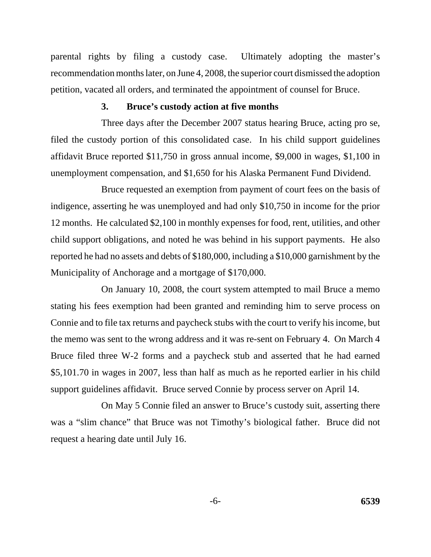parental rights by filing a custody case. Ultimately adopting the master's recommendation months later, on June 4, 2008, the superior court dismissed the adoption petition, vacated all orders, and terminated the appointment of counsel for Bruce.

#### **3. Bruce's custody action at five months**

Three days after the December 2007 status hearing Bruce, acting pro se, filed the custody portion of this consolidated case. In his child support guidelines affidavit Bruce reported \$11,750 in gross annual income, \$9,000 in wages, \$1,100 in unemployment compensation, and \$1,650 for his Alaska Permanent Fund Dividend.

Bruce requested an exemption from payment of court fees on the basis of indigence, asserting he was unemployed and had only \$10,750 in income for the prior 12 months. He calculated \$2,100 in monthly expenses for food, rent, utilities, and other child support obligations, and noted he was behind in his support payments. He also reported he had no assets and debts of \$180,000, including a \$10,000 garnishment by the Municipality of Anchorage and a mortgage of \$170,000.

On January 10, 2008, the court system attempted to mail Bruce a memo stating his fees exemption had been granted and reminding him to serve process on Connie and to file tax returns and paycheck stubs with the court to verify his income, but the memo was sent to the wrong address and it was re-sent on February 4. On March 4 Bruce filed three W-2 forms and a paycheck stub and asserted that he had earned \$5,101.70 in wages in 2007, less than half as much as he reported earlier in his child support guidelines affidavit. Bruce served Connie by process server on April 14.

On May 5 Connie filed an answer to Bruce's custody suit, asserting there was a "slim chance" that Bruce was not Timothy's biological father. Bruce did not request a hearing date until July 16.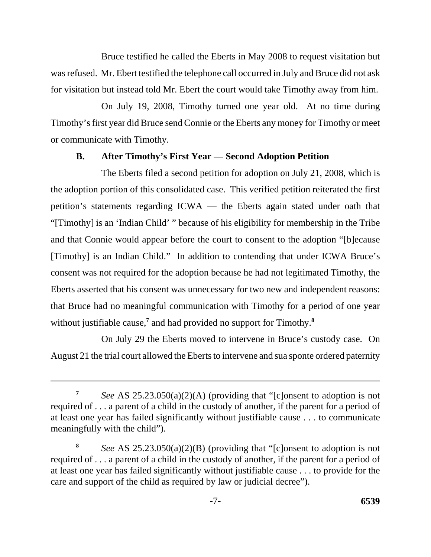Bruce testified he called the Eberts in May 2008 to request visitation but was refused. Mr. Ebert testified the telephone call occurred in July and Bruce did not ask for visitation but instead told Mr. Ebert the court would take Timothy away from him.

On July 19, 2008, Timothy turned one year old. At no time during Timothy's first year did Bruce send Connie or the Eberts any money for Timothy or meet or communicate with Timothy.

## **B. After Timothy's First Year — Second Adoption Petition**

The Eberts filed a second petition for adoption on July 21, 2008, which is the adoption portion of this consolidated case. This verified petition reiterated the first petition's statements regarding ICWA — the Eberts again stated under oath that "[Timothy] is an 'Indian Child' " because of his eligibility for membership in the Tribe and that Connie would appear before the court to consent to the adoption "[b]ecause [Timothy] is an Indian Child." In addition to contending that under ICWA Bruce's consent was not required for the adoption because he had not legitimated Timothy, the Eberts asserted that his consent was unnecessary for two new and independent reasons: that Bruce had no meaningful communication with Timothy for a period of one year without justifiable cause,<sup>7</sup> and had provided no support for Timothy.<sup>8</sup>

On July 29 the Eberts moved to intervene in Bruce's custody case. On August 21 the trial court allowed the Eberts to intervene and sua sponte ordered paternity

**<sup>7</sup>***See* AS 25.23.050(a)(2)(A) (providing that "[c]onsent to adoption is not required of . . . a parent of a child in the custody of another, if the parent for a period of at least one year has failed significantly without justifiable cause . . . to communicate meaningfully with the child").

**<sup>8</sup>***See* AS 25.23.050(a)(2)(B) (providing that "[c]onsent to adoption is not required of . . . a parent of a child in the custody of another, if the parent for a period of at least one year has failed significantly without justifiable cause . . . to provide for the care and support of the child as required by law or judicial decree").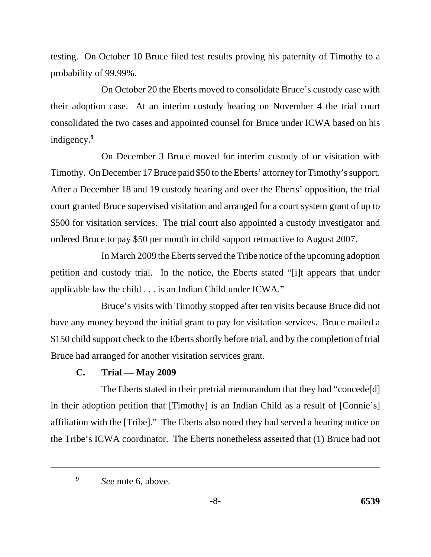testing. On October 10 Bruce filed test results proving his paternity of Timothy to a probability of 99.99%.

On October 20 the Eberts moved to consolidate Bruce's custody case with their adoption case. At an interim custody hearing on November 4 the trial court consolidated the two cases and appointed counsel for Bruce under ICWA based on his indigency.**<sup>9</sup>**

On December 3 Bruce moved for interim custody of or visitation with Timothy. On December 17 Bruce paid \$50 to the Eberts' attorney for Timothy's support. After a December 18 and 19 custody hearing and over the Eberts' opposition, the trial court granted Bruce supervised visitation and arranged for a court system grant of up to \$500 for visitation services. The trial court also appointed a custody investigator and ordered Bruce to pay \$50 per month in child support retroactive to August 2007.

In March 2009 the Eberts served the Tribe notice of the upcoming adoption petition and custody trial. In the notice, the Eberts stated "[i]t appears that under applicable law the child . . . is an Indian Child under ICWA."

Bruce's visits with Timothy stopped after ten visits because Bruce did not have any money beyond the initial grant to pay for visitation services. Bruce mailed a \$150 child support check to the Eberts shortly before trial, and by the completion of trial Bruce had arranged for another visitation services grant.

## **C. Trial — May 2009**

The Eberts stated in their pretrial memorandum that they had "concede[d] in their adoption petition that [Timothy] is an Indian Child as a result of [Connie's] affiliation with the [Tribe]." The Eberts also noted they had served a hearing notice on the Tribe's ICWA coordinator. The Eberts nonetheless asserted that (1) Bruce had not

*See* note 6, above. **9**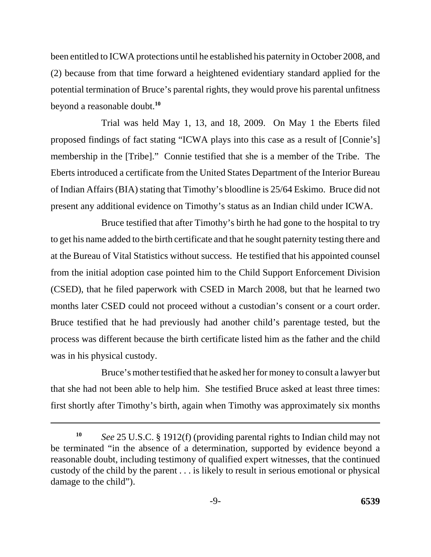been entitled to ICWA protections until he established his paternity in October 2008, and (2) because from that time forward a heightened evidentiary standard applied for the potential termination of Bruce's parental rights, they would prove his parental unfitness beyond a reasonable doubt.**<sup>10</sup>**

Trial was held May 1, 13, and 18, 2009. On May 1 the Eberts filed proposed findings of fact stating "ICWA plays into this case as a result of [Connie's] membership in the [Tribe]." Connie testified that she is a member of the Tribe. The Eberts introduced a certificate from the United States Department of the Interior Bureau of Indian Affairs (BIA) stating that Timothy's bloodline is 25/64 Eskimo. Bruce did not present any additional evidence on Timothy's status as an Indian child under ICWA.

Bruce testified that after Timothy's birth he had gone to the hospital to try to get his name added to the birth certificate and that he sought paternity testing there and at the Bureau of Vital Statistics without success. He testified that his appointed counsel from the initial adoption case pointed him to the Child Support Enforcement Division (CSED), that he filed paperwork with CSED in March 2008, but that he learned two months later CSED could not proceed without a custodian's consent or a court order. Bruce testified that he had previously had another child's parentage tested, but the process was different because the birth certificate listed him as the father and the child was in his physical custody.

Bruce's mother testified that he asked her for money to consult a lawyer but that she had not been able to help him. She testified Bruce asked at least three times: first shortly after Timothy's birth, again when Timothy was approximately six months

**<sup>10</sup>***See* 25 U.S.C. § 1912(f) (providing parental rights to Indian child may not be terminated "in the absence of a determination, supported by evidence beyond a reasonable doubt, including testimony of qualified expert witnesses, that the continued custody of the child by the parent . . . is likely to result in serious emotional or physical damage to the child").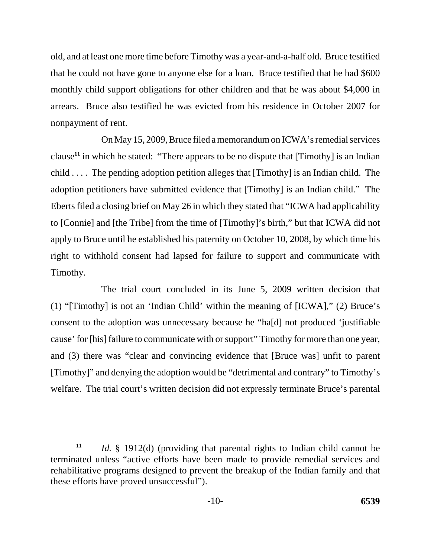old, and at least one more time before Timothy was a year-and-a-half old. Bruce testified that he could not have gone to anyone else for a loan. Bruce testified that he had \$600 monthly child support obligations for other children and that he was about \$4,000 in arrears. Bruce also testified he was evicted from his residence in October 2007 for nonpayment of rent.

On May 15, 2009, Bruce filed a memorandum on ICWA's remedial services clause**<sup>11</sup>** in which he stated: "There appears to be no dispute that [Timothy] is an Indian child . . . . The pending adoption petition alleges that [Timothy] is an Indian child. The adoption petitioners have submitted evidence that [Timothy] is an Indian child." The Eberts filed a closing brief on May 26 in which they stated that "ICWA had applicability to [Connie] and [the Tribe] from the time of [Timothy]'s birth," but that ICWA did not apply to Bruce until he established his paternity on October 10, 2008, by which time his right to withhold consent had lapsed for failure to support and communicate with Timothy.

The trial court concluded in its June 5, 2009 written decision that (1) "[Timothy] is not an 'Indian Child' within the meaning of [ICWA]," (2) Bruce's consent to the adoption was unnecessary because he "ha[d] not produced 'justifiable cause' for [his] failure to communicate with or support" Timothy for more than one year, and (3) there was "clear and convincing evidence that [Bruce was] unfit to parent [Timothy]" and denying the adoption would be "detrimental and contrary" to Timothy's welfare. The trial court's written decision did not expressly terminate Bruce's parental

*Id.* § 1912(d) (providing that parental rights to Indian child cannot be terminated unless "active efforts have been made to provide remedial services and rehabilitative programs designed to prevent the breakup of the Indian family and that these efforts have proved unsuccessful"). **11**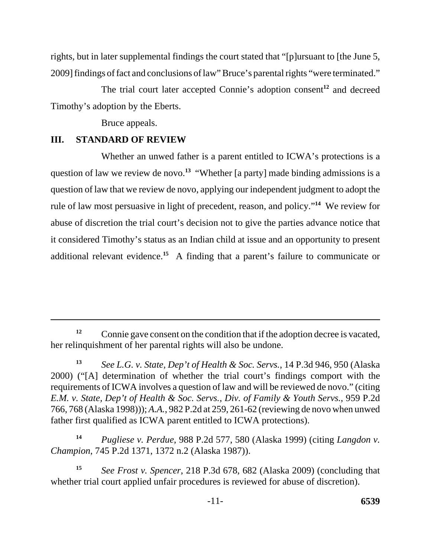rights, but in later supplemental findings the court stated that "[p]ursuant to [the June 5, 2009] findings of fact and conclusions of law" Bruce's parental rights "were terminated."

The trial court later accepted Connie's adoption consent**<sup>12</sup>** and decreed Timothy's adoption by the Eberts.

Bruce appeals.

## **III. STANDARD OF REVIEW**

Whether an unwed father is a parent entitled to ICWA's protections is a question of law we review de novo.<sup>13</sup> "Whether [a party] made binding admissions is a question of law that we review de novo, applying our independent judgment to adopt the rule of law most persuasive in light of precedent, reason, and policy."**<sup>14</sup>** We review for abuse of discretion the trial court's decision not to give the parties advance notice that it considered Timothy's status as an Indian child at issue and an opportunity to present additional relevant evidence.**<sup>15</sup>** A finding that a parent's failure to communicate or

**<sup>14</sup>***Pugliese v. Perdue*, 988 P.2d 577, 580 (Alaska 1999) (citing *Langdon v. Champion*, 745 P.2d 1371, 1372 n.2 (Alaska 1987)).

<sup>&</sup>lt;sup>12</sup> Connie gave consent on the condition that if the adoption decree is vacated, her relinquishment of her parental rights will also be undone.

**<sup>13</sup>***See L.G. v. State, Dep't of Health & Soc. Servs.*, 14 P.3d 946, 950 (Alaska 2000) ("[A] determination of whether the trial court's findings comport with the requirements of ICWA involves a question of law and will be reviewed de novo." (citing *E.M. v. State, Dep't of Health & Soc. Servs., Div. of Family & Youth Servs.*, 959 P.2d 766, 768 (Alaska 1998))); *A.A.*, 982 P.2d at 259, 261-62 (reviewing de novo when unwed father first qualified as ICWA parent entitled to ICWA protections).

**<sup>15</sup>***See Frost v. Spencer*, 218 P.3d 678, 682 (Alaska 2009) (concluding that whether trial court applied unfair procedures is reviewed for abuse of discretion).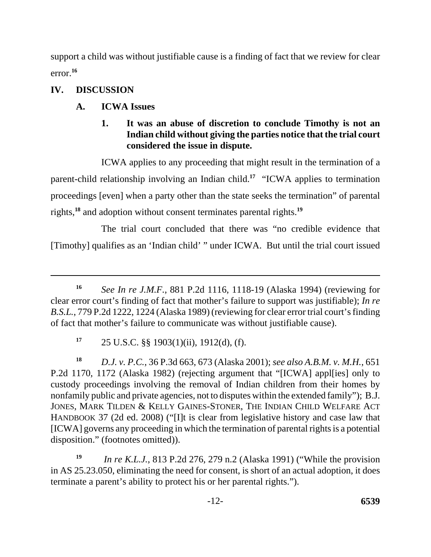support a child was without justifiable cause is a finding of fact that we review for clear error.**<sup>16</sup>**

# **IV. DISCUSSION**

# **A. ICWA Issues**

## **1. It was an abuse of discretion to conclude Timothy is not an Indian child without giving the parties notice that the trial court considered the issue in dispute.**

ICWA applies to any proceeding that might result in the termination of a parent-child relationship involving an Indian child.**<sup>17</sup>** "ICWA applies to termination proceedings [even] when a party other than the state seeks the termination" of parental rights,**<sup>18</sup>** and adoption without consent terminates parental rights.**<sup>19</sup>**

The trial court concluded that there was "no credible evidence that [Timothy] qualifies as an 'Indian child' " under ICWA. But until the trial court issued

 $17 \quad 25 \text{ U.S.C. }$ §§ 1903(1)(ii), 1912(d), (f).

**<sup>18</sup>***D.J. v. P.C.*, 36 P.3d 663, 673 (Alaska 2001); *see also A.B.M. v. M.H.*, 651 P.2d 1170, 1172 (Alaska 1982) (rejecting argument that "[ICWA] appl[ies] only to custody proceedings involving the removal of Indian children from their homes by nonfamily public and private agencies, not to disputes within the extended family"); B.J. JONES, MARK TILDEN & KELLY GAINES-STONER, THE INDIAN CHILD WELFARE ACT HANDBOOK 37 (2d ed. 2008) ("[I]t is clear from legislative history and case law that [ICWA] governs any proceeding in which the termination of parental rights is a potential disposition." (footnotes omitted)).

**<sup>19</sup>***In re K.L.J.*, 813 P.2d 276, 279 n.2 (Alaska 1991) ("While the provision in AS 25.23.050, eliminating the need for consent, is short of an actual adoption, it does terminate a parent's ability to protect his or her parental rights.").

**<sup>16</sup>***See In re J.M.F.*, 881 P.2d 1116, 1118-19 (Alaska 1994) (reviewing for clear error court's finding of fact that mother's failure to support was justifiable); *In re B.S.L.*, 779 P.2d 1222, 1224 (Alaska 1989) (reviewing for clear error trial court's finding of fact that mother's failure to communicate was without justifiable cause).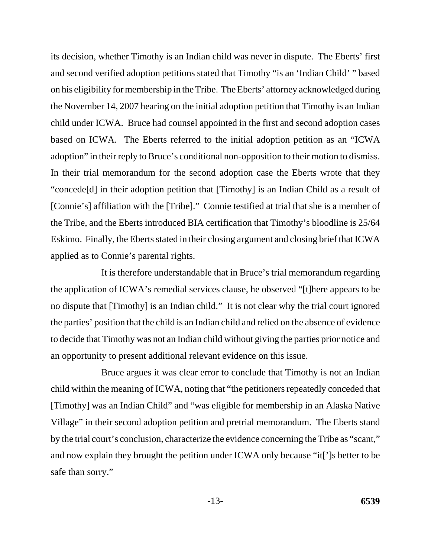its decision, whether Timothy is an Indian child was never in dispute. The Eberts' first and second verified adoption petitions stated that Timothy "is an 'Indian Child' " based on his eligibility for membership in the Tribe. The Eberts' attorney acknowledged during the November 14, 2007 hearing on the initial adoption petition that Timothy is an Indian child under ICWA. Bruce had counsel appointed in the first and second adoption cases based on ICWA. The Eberts referred to the initial adoption petition as an "ICWA adoption" in their reply to Bruce's conditional non-opposition to their motion to dismiss. In their trial memorandum for the second adoption case the Eberts wrote that they "concede[d] in their adoption petition that [Timothy] is an Indian Child as a result of [Connie's] affiliation with the [Tribe]." Connie testified at trial that she is a member of the Tribe, and the Eberts introduced BIA certification that Timothy's bloodline is 25/64 Eskimo. Finally, the Eberts stated in their closing argument and closing brief that ICWA applied as to Connie's parental rights.

It is therefore understandable that in Bruce's trial memorandum regarding the application of ICWA's remedial services clause, he observed "[t]here appears to be no dispute that [Timothy] is an Indian child." It is not clear why the trial court ignored the parties' position that the child is an Indian child and relied on the absence of evidence to decide that Timothy was not an Indian child without giving the parties prior notice and an opportunity to present additional relevant evidence on this issue.

Bruce argues it was clear error to conclude that Timothy is not an Indian child within the meaning of ICWA, noting that "the petitioners repeatedly conceded that [Timothy] was an Indian Child" and "was eligible for membership in an Alaska Native Village" in their second adoption petition and pretrial memorandum. The Eberts stand by the trial court's conclusion, characterize the evidence concerning the Tribe as "scant," and now explain they brought the petition under ICWA only because "it[']s better to be safe than sorry."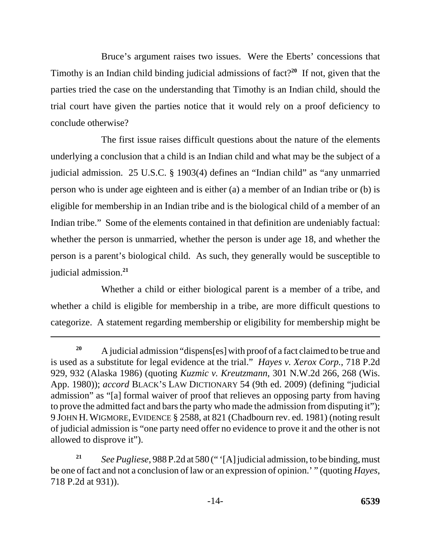Bruce's argument raises two issues. Were the Eberts' concessions that Timothy is an Indian child binding judicial admissions of fact?**<sup>20</sup>** If not, given that the parties tried the case on the understanding that Timothy is an Indian child, should the trial court have given the parties notice that it would rely on a proof deficiency to conclude otherwise?

The first issue raises difficult questions about the nature of the elements underlying a conclusion that a child is an Indian child and what may be the subject of a judicial admission. 25 U.S.C. § 1903(4) defines an "Indian child" as "any unmarried person who is under age eighteen and is either (a) a member of an Indian tribe or (b) is eligible for membership in an Indian tribe and is the biological child of a member of an Indian tribe." Some of the elements contained in that definition are undeniably factual: whether the person is unmarried, whether the person is under age 18, and whether the person is a parent's biological child. As such, they generally would be susceptible to judicial admission.**<sup>21</sup>**

Whether a child or either biological parent is a member of a tribe, and whether a child is eligible for membership in a tribe, are more difficult questions to categorize. A statement regarding membership or eligibility for membership might be

**<sup>20</sup>**A judicial admission "dispens[es] with proof of a fact claimed to be true and is used as a substitute for legal evidence at the trial." *Hayes v. Xerox Corp.*, 718 P.2d 929, 932 (Alaska 1986) (quoting *Kuzmic v. Kreutzmann*, 301 N.W.2d 266, 268 (Wis. App. 1980)); *accord* BLACK'S LAW DICTIONARY 54 (9th ed. 2009) (defining "judicial admission" as "[a] formal waiver of proof that relieves an opposing party from having to prove the admitted fact and bars the party who made the admission from disputing it"); 9 JOHN H. WIGMORE, EVIDENCE § 2588, at 821 (Chadbourn rev. ed. 1981) (noting result of judicial admission is "one party need offer no evidence to prove it and the other is not allowed to disprove it").

**<sup>21</sup>***See Pugliese*, 988 P.2d at 580 (" '[A] judicial admission, to be binding, must be one of fact and not a conclusion of law or an expression of opinion.' " (quoting *Hayes*, 718 P.2d at 931)).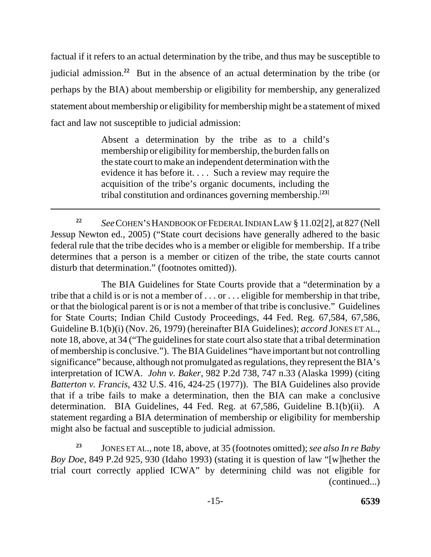factual if it refers to an actual determination by the tribe, and thus may be susceptible to judicial admission.**<sup>22</sup>** But in the absence of an actual determination by the tribe (or perhaps by the BIA) about membership or eligibility for membership, any generalized statement about membership or eligibility for membership might be a statement of mixed fact and law not susceptible to judicial admission:

> Absent a determination by the tribe as to a child's membership or eligibility for membership, the burden falls on the state court to make an independent determination with the evidence it has before it. . . . Such a review may require the acquisition of the tribe's organic documents, including the tribal constitution and ordinances governing membership.[**23**]

**<sup>22</sup>***See*COHEN'S HANDBOOK OF FEDERAL INDIAN LAW § 11.02[2], at 827 (Nell Jessup Newton ed., 2005) ("State court decisions have generally adhered to the basic federal rule that the tribe decides who is a member or eligible for membership. If a tribe determines that a person is a member or citizen of the tribe, the state courts cannot disturb that determination." (footnotes omitted)).

The BIA Guidelines for State Courts provide that a "determination by a tribe that a child is or is not a member of . . . or . . . eligible for membership in that tribe, or that the biological parent is or is not a member of that tribe is conclusive." Guidelines for State Courts; Indian Child Custody Proceedings, 44 Fed. Reg. 67,584, 67,586, Guideline B.1(b)(i) (Nov. 26, 1979) (hereinafter BIA Guidelines); *accord* JONES ET AL., note 18, above, at 34 ("The guidelines for state court also state that a tribal determination of membership is conclusive."). The BIA Guidelines "have important but not controlling significance" because, although not promulgated as regulations, they represent the BIA's interpretation of ICWA. *John v. Baker*, 982 P.2d 738, 747 n.33 (Alaska 1999) (citing *Batterton v. Francis*, 432 U.S. 416, 424-25 (1977)). The BIA Guidelines also provide that if a tribe fails to make a determination, then the BIA can make a conclusive determination. BIA Guidelines, 44 Fed. Reg. at 67,586, Guideline B.1(b)(ii). A statement regarding a BIA determination of membership or eligibility for membership might also be factual and susceptible to judicial admission.

JONES ET AL., note 18, above, at 35 (footnotes omitted); *see also In re Baby Boy Doe*, 849 P.2d 925, 930 (Idaho 1993) (stating it is question of law "[w]hether the trial court correctly applied ICWA" by determining child was not eligible for (continued...) **23**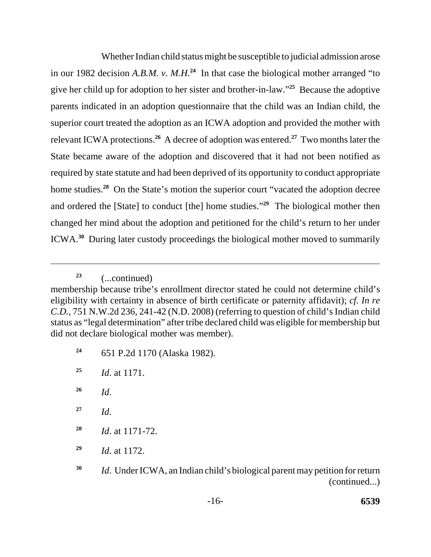Whether Indian child status might be susceptible to judicial admission arose in our 1982 decision *A.B.M. v. M.H.***<sup>24</sup>** In that case the biological mother arranged "to give her child up for adoption to her sister and brother-in-law."**<sup>25</sup>** Because the adoptive parents indicated in an adoption questionnaire that the child was an Indian child, the superior court treated the adoption as an ICWA adoption and provided the mother with relevant ICWA protections.**<sup>26</sup>** A decree of adoption was entered.**<sup>27</sup>** Two months later the State became aware of the adoption and discovered that it had not been notified as required by state statute and had been deprived of its opportunity to conduct appropriate home studies.**<sup>28</sup>** On the State's motion the superior court "vacated the adoption decree and ordered the [State] to conduct [the] home studies."**<sup>29</sup>** The biological mother then changed her mind about the adoption and petitioned for the child's return to her under ICWA.**<sup>30</sup>** During later custody proceedings the biological mother moved to summarily

**<sup>24</sup>**651 P.2d 1170 (Alaska 1982).

- **<sup>28</sup>***Id*. at 1171-72.
- **<sup>29</sup>***Id*. at 1172.

**<sup>23</sup>**(...continued)

membership because tribe's enrollment director stated he could not determine child's eligibility with certainty in absence of birth certificate or paternity affidavit); *cf. In re C.D.*, 751 N.W.2d 236, 241-42 (N.D. 2008) (referring to question of child's Indian child status as "legal determination" after tribe declared child was eligible for membership but did not declare biological mother was member).

**<sup>25</sup>***Id*. at 1171.

**<sup>26</sup>***Id*.

**<sup>27</sup>***Id*.

**<sup>30</sup>***Id*. Under ICWA, an Indian child's biological parent may petition for return (continued...)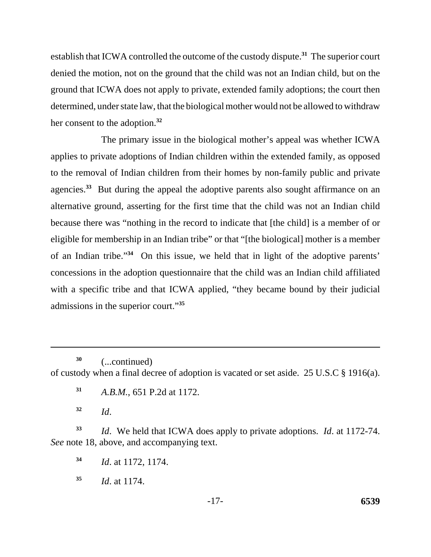her consent to the adoption.**<sup>32</sup>** establish that ICWA controlled the outcome of the custody dispute.**<sup>31</sup>** The superior court denied the motion, not on the ground that the child was not an Indian child, but on the ground that ICWA does not apply to private, extended family adoptions; the court then determined, under state law, that the biological mother would not be allowed to withdraw

The primary issue in the biological mother's appeal was whether ICWA applies to private adoptions of Indian children within the extended family, as opposed to the removal of Indian children from their homes by non-family public and private agencies.**<sup>33</sup>** But during the appeal the adoptive parents also sought affirmance on an alternative ground, asserting for the first time that the child was not an Indian child because there was "nothing in the record to indicate that [the child] is a member of or eligible for membership in an Indian tribe" or that "[the biological] mother is a member of an Indian tribe."**<sup>34</sup>** On this issue, we held that in light of the adoptive parents' concessions in the adoption questionnaire that the child was an Indian child affiliated with a specific tribe and that ICWA applied, "they became bound by their judicial admissions in the superior court."**<sup>35</sup>**

**30** (...continued) of custody when a final decree of adoption is vacated or set aside. 25 U.S.C § 1916(a).

**<sup>31</sup>***A.B.M.*, 651 P.2d at 1172.

**<sup>32</sup>***Id*.

**<sup>33</sup>***Id*. We held that ICWA does apply to private adoptions. *Id*. at 1172-74. *See* note 18, above, and accompanying text.

**<sup>34</sup>***Id*. at 1172, 1174.

**<sup>35</sup>***Id*. at 1174.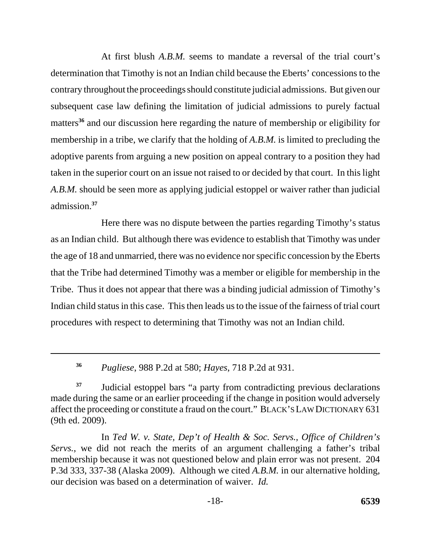At first blush *A.B.M.* seems to mandate a reversal of the trial court's determination that Timothy is not an Indian child because the Eberts' concessions to the contrary throughout the proceedings should constitute judicial admissions. But given our subsequent case law defining the limitation of judicial admissions to purely factual matters**<sup>36</sup>** and our discussion here regarding the nature of membership or eligibility for membership in a tribe, we clarify that the holding of *A.B.M.* is limited to precluding the adoptive parents from arguing a new position on appeal contrary to a position they had taken in the superior court on an issue not raised to or decided by that court. In this light *A.B.M.* should be seen more as applying judicial estoppel or waiver rather than judicial admission.**<sup>37</sup>**

Here there was no dispute between the parties regarding Timothy's status as an Indian child. But although there was evidence to establish that Timothy was under the age of 18 and unmarried, there was no evidence nor specific concession by the Eberts that the Tribe had determined Timothy was a member or eligible for membership in the Tribe. Thus it does not appear that there was a binding judicial admission of Timothy's Indian child status in this case. This then leads us to the issue of the fairness of trial court procedures with respect to determining that Timothy was not an Indian child.

**<sup>36</sup>***Pugliese*, 988 P.2d at 580; *Hayes*, 718 P.2d at 931.

<sup>37</sup> Judicial estoppel bars "a party from contradicting previous declarations" made during the same or an earlier proceeding if the change in position would adversely affect the proceeding or constitute a fraud on the court." BLACK'S LAW DICTIONARY 631 (9th ed. 2009).

In *Ted W. v. State, Dep't of Health & Soc. Servs., Office of Children's Servs.*, we did not reach the merits of an argument challenging a father's tribal membership because it was not questioned below and plain error was not present. 204 P.3d 333, 337-38 (Alaska 2009). Although we cited *A.B.M.* in our alternative holding, our decision was based on a determination of waiver. *Id.*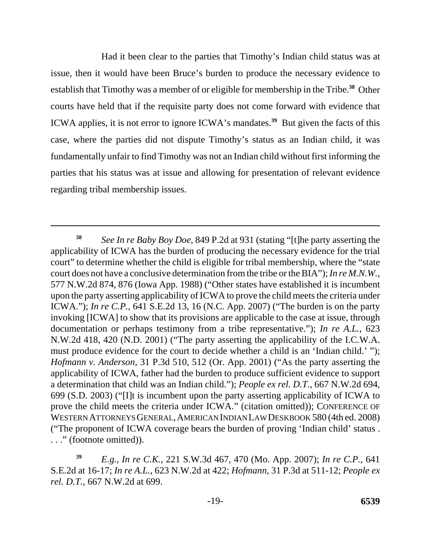Had it been clear to the parties that Timothy's Indian child status was at issue, then it would have been Bruce's burden to produce the necessary evidence to establish that Timothy was a member of or eligible for membership in the Tribe.**<sup>38</sup>** Other courts have held that if the requisite party does not come forward with evidence that ICWA applies, it is not error to ignore ICWA's mandates.**<sup>39</sup>** But given the facts of this case, where the parties did not dispute Timothy's status as an Indian child, it was fundamentally unfair to find Timothy was not an Indian child without first informing the parties that his status was at issue and allowing for presentation of relevant evidence regarding tribal membership issues.

**<sup>38</sup>***See In re Baby Boy Doe*, 849 P.2d at 931 (stating "[t]he party asserting the applicability of ICWA has the burden of producing the necessary evidence for the trial court" to determine whether the child is eligible for tribal membership, where the "state court does not have a conclusive determination from the tribe or the BIA"); *In re M.N.W.*, 577 N.W.2d 874, 876 (Iowa App. 1988) ("Other states have established it is incumbent upon the party asserting applicability of ICWA to prove the child meets the criteria under ICWA."); *In re C.P.*, 641 S.E.2d 13, 16 (N.C. App. 2007) ("The burden is on the party invoking [ICWA] to show that its provisions are applicable to the case at issue, through documentation or perhaps testimony from a tribe representative."); *In re A.L.*, 623 N.W.2d 418, 420 (N.D. 2001) ("The party asserting the applicability of the I.C.W.A. must produce evidence for the court to decide whether a child is an 'Indian child.' "); *Hofmann v. Anderson*, 31 P.3d 510, 512 (Or. App. 2001) ("As the party asserting the applicability of ICWA, father had the burden to produce sufficient evidence to support a determination that child was an Indian child."); *People ex rel. D.T.*, 667 N.W.2d 694, 699 (S.D. 2003) ("[I]t is incumbent upon the party asserting applicability of ICWA to prove the child meets the criteria under ICWA." (citation omitted)); CONFERENCE OF WESTERN ATTORNEYS GENERAL,AMERICAN INDIAN LAW DESKBOOK 580 (4th ed. 2008) ("The proponent of ICWA coverage bears the burden of proving 'Indian child' status . . . ." (footnote omitted)).

**<sup>39</sup>***E.g.*, *In re C.K.*, 221 S.W.3d 467, 470 (Mo. App. 2007); *In re C.P.*, 641 S.E.2d at 16-17; *In re A.L.*, 623 N.W.2d at 422; *Hofmann*, 31 P.3d at 511-12; *People ex rel. D.T.*, 667 N.W.2d at 699.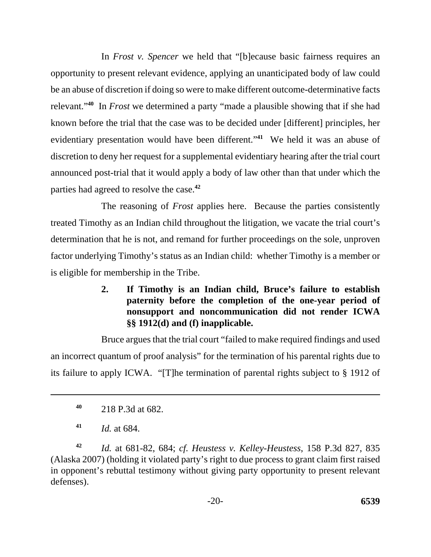In *Frost v. Spencer* we held that "[b]ecause basic fairness requires an opportunity to present relevant evidence, applying an unanticipated body of law could be an abuse of discretion if doing so were to make different outcome-determinative facts relevant."**<sup>40</sup>** In *Frost* we determined a party "made a plausible showing that if she had known before the trial that the case was to be decided under [different] principles, her evidentiary presentation would have been different."**<sup>41</sup>** We held it was an abuse of discretion to deny her request for a supplemental evidentiary hearing after the trial court announced post-trial that it would apply a body of law other than that under which the parties had agreed to resolve the case.**<sup>42</sup>**

The reasoning of *Frost* applies here. Because the parties consistently treated Timothy as an Indian child throughout the litigation, we vacate the trial court's determination that he is not, and remand for further proceedings on the sole, unproven factor underlying Timothy's status as an Indian child: whether Timothy is a member or is eligible for membership in the Tribe.

> **2. If Timothy is an Indian child, Bruce's failure to establish paternity before the completion of the one-year period of nonsupport and noncommunication did not render ICWA §§ 1912(d) and (f) inapplicable.**

Bruce argues that the trial court "failed to make required findings and used an incorrect quantum of proof analysis" for the termination of his parental rights due to its failure to apply ICWA. "[T]he termination of parental rights subject to § 1912 of

**<sup>42</sup>***Id.* at 681-82, 684; *cf. Heustess v. Kelley-Heustess*, 158 P.3d 827, 835 (Alaska 2007) (holding it violated party's right to due process to grant claim first raised in opponent's rebuttal testimony without giving party opportunity to present relevant defenses).

**<sup>40</sup>**218 P.3d at 682.

**<sup>41</sup>***Id.* at 684.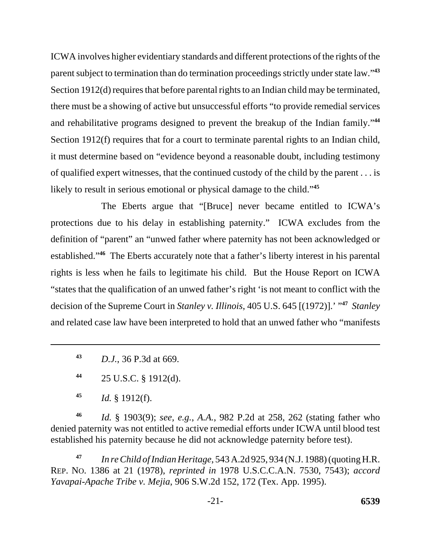ICWA involves higher evidentiary standards and different protections of the rights of the parent subject to termination than do termination proceedings strictly under state law."**<sup>43</sup>** Section 1912(d) requires that before parental rights to an Indian child may be terminated, there must be a showing of active but unsuccessful efforts "to provide remedial services and rehabilitative programs designed to prevent the breakup of the Indian family."**<sup>44</sup>** Section 1912(f) requires that for a court to terminate parental rights to an Indian child, it must determine based on "evidence beyond a reasonable doubt, including testimony of qualified expert witnesses, that the continued custody of the child by the parent . . . is likely to result in serious emotional or physical damage to the child."**<sup>45</sup>**

The Eberts argue that "[Bruce] never became entitled to ICWA's protections due to his delay in establishing paternity." ICWA excludes from the definition of "parent" an "unwed father where paternity has not been acknowledged or established."**<sup>46</sup>** The Eberts accurately note that a father's liberty interest in his parental rights is less when he fails to legitimate his child. But the House Report on ICWA "states that the qualification of an unwed father's right 'is not meant to conflict with the decision of the Supreme Court in *Stanley v. Illinois*, 405 U.S. 645 [(1972)].' "**<sup>47</sup>** *Stanley*  and related case law have been interpreted to hold that an unwed father who "manifests

**<sup>43</sup>***D.J.*, 36 P.3d at 669.

**<sup>44</sup>**25 U.S.C. § 1912(d).

**<sup>45</sup>***Id.* § 1912(f).

**<sup>46</sup>***Id.* § 1903(9); *see, e.g.*, *A.A.*, 982 P.2d at 258, 262 (stating father who denied paternity was not entitled to active remedial efforts under ICWA until blood test established his paternity because he did not acknowledge paternity before test).

**<sup>47</sup>***In re Child of Indian Heritage*, 543 A.2d 925, 934 (N.J. 1988) (quoting H.R. REP. NO. 1386 at 21 (1978), *reprinted in* 1978 U.S.C.C.A.N. 7530, 7543); *accord Yavapai-Apache Tribe v. Mejia*, 906 S.W.2d 152, 172 (Tex. App. 1995).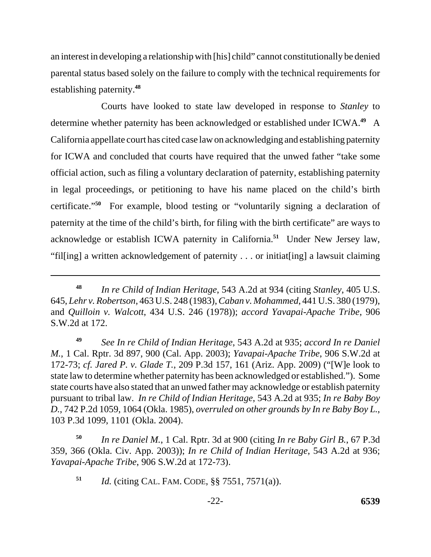an interest in developing a relationship with [his] child" cannot constitutionally be denied parental status based solely on the failure to comply with the technical requirements for establishing paternity.**<sup>48</sup>**

Courts have looked to state law developed in response to *Stanley* to determine whether paternity has been acknowledged or established under ICWA.**<sup>49</sup>** A California appellate court has cited case law on acknowledging and establishing paternity for ICWA and concluded that courts have required that the unwed father "take some official action, such as filing a voluntary declaration of paternity, establishing paternity in legal proceedings, or petitioning to have his name placed on the child's birth certificate."**<sup>50</sup>** For example, blood testing or "voluntarily signing a declaration of paternity at the time of the child's birth, for filing with the birth certificate" are ways to acknowledge or establish ICWA paternity in California.**<sup>51</sup>** Under New Jersey law, "fil[ing] a written acknowledgement of paternity . . . or initiat[ing] a lawsuit claiming

**<sup>48</sup>***In re Child of Indian Heritage*, 543 A.2d at 934 (citing *Stanley*, 405 U.S. 645, *Lehr v. Robertson*, 463 U.S. 248 (1983), *Caban v. Mohammed*, 441 U.S. 380 (1979), and *Quilloin v. Walcott*, 434 U.S. 246 (1978)); *accord Yavapai-Apache Tribe*, 906 S.W.2d at 172.

**<sup>49</sup>***See In re Child of Indian Heritage*, 543 A.2d at 935; *accord In re Daniel M.*, 1 Cal. Rptr. 3d 897, 900 (Cal. App. 2003); *Yavapai-Apache Tribe*, 906 S.W.2d at 172-73; *cf. Jared P. v. Glade T.*, 209 P.3d 157, 161 (Ariz. App. 2009) ("[W]e look to state law to determine whether paternity has been acknowledged or established."). Some state courts have also stated that an unwed father may acknowledge or establish paternity pursuant to tribal law. *In re Child of Indian Heritage*, 543 A.2d at 935; *In re Baby Boy D.*, 742 P.2d 1059, 1064 (Okla. 1985), *overruled on other grounds by In re Baby Boy L.*, 103 P.3d 1099, 1101 (Okla. 2004).

**<sup>50</sup>***In re Daniel M.*, 1 Cal. Rptr. 3d at 900 (citing *In re Baby Girl B.*, 67 P.3d 359, 366 (Okla. Civ. App. 2003)); *In re Child of Indian Heritage*, 543 A.2d at 936; *Yavapai-Apache Tribe*, 906 S.W.2d at 172-73).

 **<sup>51</sup>***Id.* (citing CAL. FAM. CODE, §§ 7551, 7571(a)).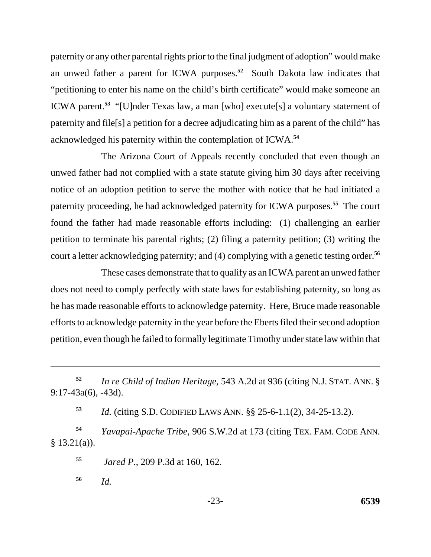paternity or any other parental rights prior to the final judgment of adoption" would make an unwed father a parent for ICWA purposes.**<sup>52</sup>** South Dakota law indicates that "petitioning to enter his name on the child's birth certificate" would make someone an ICWA parent.**<sup>53</sup>** "[U]nder Texas law, a man [who] execute[s] a voluntary statement of paternity and file[s] a petition for a decree adjudicating him as a parent of the child" has acknowledged his paternity within the contemplation of ICWA.**<sup>54</sup>**

The Arizona Court of Appeals recently concluded that even though an unwed father had not complied with a state statute giving him 30 days after receiving notice of an adoption petition to serve the mother with notice that he had initiated a paternity proceeding, he had acknowledged paternity for ICWA purposes.**<sup>55</sup>** The court found the father had made reasonable efforts including: (1) challenging an earlier petition to terminate his parental rights; (2) filing a paternity petition; (3) writing the court a letter acknowledging paternity; and (4) complying with a genetic testing order.**<sup>56</sup>**

These cases demonstrate that to qualify as an ICWA parent an unwed father does not need to comply perfectly with state laws for establishing paternity, so long as he has made reasonable efforts to acknowledge paternity. Here, Bruce made reasonable efforts to acknowledge paternity in the year before the Eberts filed their second adoption petition, even though he failed to formally legitimate Timothy under state law within that

**<sup>53</sup>***Id.* (citing S.D. CODIFIED LAWS ANN. §§ 25-6-1.1(2), 34-25-13.2).

 **<sup>54</sup>***Yavapai-Apache Tribe*, 906 S.W.2d at 173 (citing TEX. FAM. CODE ANN.  $§ 13.21(a)$ ).

**55** *Jared P.*, 209 P.3d at 160, 162.

**56** *Id.*

 **<sup>52</sup>***In re Child of Indian Heritage*, 543 A.2d at 936 (citing N.J. STAT. ANN. § 9:17-43a(6), -43d).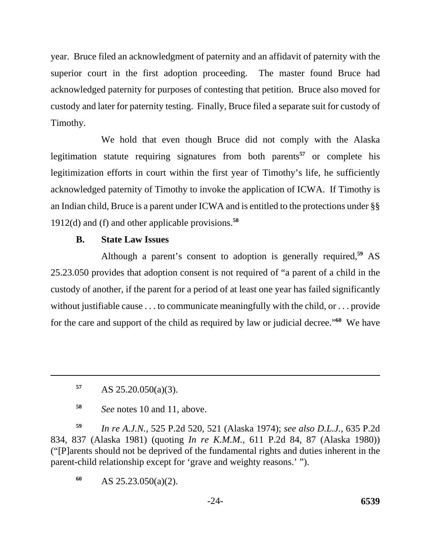year. Bruce filed an acknowledgment of paternity and an affidavit of paternity with the superior court in the first adoption proceeding. The master found Bruce had acknowledged paternity for purposes of contesting that petition. Bruce also moved for custody and later for paternity testing. Finally, Bruce filed a separate suit for custody of Timothy.

We hold that even though Bruce did not comply with the Alaska legitimation statute requiring signatures from both parents**<sup>57</sup>** or complete his legitimization efforts in court within the first year of Timothy's life, he sufficiently acknowledged paternity of Timothy to invoke the application of ICWA. If Timothy is an Indian child, Bruce is a parent under ICWA and is entitled to the protections under §§ 1912(d) and (f) and other applicable provisions.**<sup>58</sup>**

### **B. State Law Issues**

Although a parent's consent to adoption is generally required,**<sup>59</sup>** AS 25.23.050 provides that adoption consent is not required of "a parent of a child in the custody of another, if the parent for a period of at least one year has failed significantly without justifiable cause . . . to communicate meaningfully with the child, or . . . provide for the care and support of the child as required by law or judicial decree."**<sup>60</sup>** We have

**<sup>59</sup>***In re A.J.N.*, 525 P.2d 520, 521 (Alaska 1974); *see also D.L.J.*, 635 P.2d 834, 837 (Alaska 1981) (quoting *In re K.M.M.*, 611 P.2d 84, 87 (Alaska 1980)) ("[P]arents should not be deprived of the fundamental rights and duties inherent in the parent-child relationship except for 'grave and weighty reasons.' ").

**<sup>60</sup>**AS 25.23.050(a)(2).

**<sup>57</sup>**AS 25.20.050(a)(3).

**<sup>58</sup>***See* notes 10 and 11, above.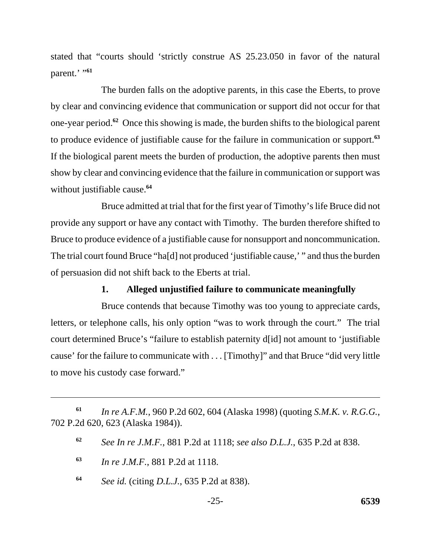stated that "courts should 'strictly construe AS 25.23.050 in favor of the natural parent.' "**<sup>61</sup>**

The burden falls on the adoptive parents, in this case the Eberts, to prove by clear and convincing evidence that communication or support did not occur for that one-year period.**<sup>62</sup>** Once this showing is made, the burden shifts to the biological parent to produce evidence of justifiable cause for the failure in communication or support.**<sup>63</sup>** If the biological parent meets the burden of production, the adoptive parents then must show by clear and convincing evidence that the failure in communication or support was without justifiable cause.**<sup>64</sup>**

Bruce admitted at trial that for the first year of Timothy's life Bruce did not provide any support or have any contact with Timothy. The burden therefore shifted to Bruce to produce evidence of a justifiable cause for nonsupport and noncommunication. The trial court found Bruce "ha[d] not produced 'justifiable cause,' " and thus the burden of persuasion did not shift back to the Eberts at trial.

### **1. Alleged unjustified failure to communicate meaningfully**

Bruce contends that because Timothy was too young to appreciate cards, letters, or telephone calls, his only option "was to work through the court." The trial court determined Bruce's "failure to establish paternity d[id] not amount to 'justifiable cause' for the failure to communicate with . . . [Timothy]" and that Bruce "did very little to move his custody case forward."

- **<sup>63</sup>***In re J.M.F.*, 881 P.2d at 1118.
- **<sup>64</sup>***See id.* (citing *D.L.J.*, 635 P.2d at 838).

**<sup>61</sup>***In re A.F.M.*, 960 P.2d 602, 604 (Alaska 1998) (quoting *S.M.K. v. R.G.G.*, 702 P.2d 620, 623 (Alaska 1984)).

**<sup>62</sup>***See In re J.M.F.*, 881 P.2d at 1118; *see also D.L.J.*, 635 P.2d at 838.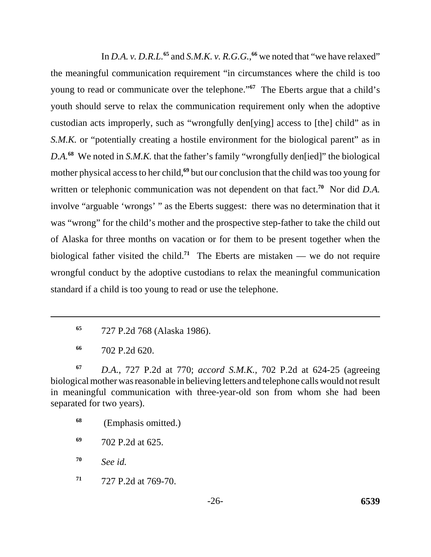In *D.A. v. D.R.L.*<sup>65</sup> and *S.M.K. v. R.G.G.*, <sup>66</sup> we noted that "we have relaxed" the meaningful communication requirement "in circumstances where the child is too young to read or communicate over the telephone."**<sup>67</sup>** The Eberts argue that a child's youth should serve to relax the communication requirement only when the adoptive custodian acts improperly, such as "wrongfully den[ying] access to [the] child" as in *S.M.K.* or "potentially creating a hostile environment for the biological parent" as in *D.A.***<sup>68</sup>** We noted in *S.M.K.* that the father's family "wrongfully den[ied]" the biological mother physical access to her child,**<sup>69</sup>** but our conclusion that the child was too young for written or telephonic communication was not dependent on that fact.<sup>70</sup> Nor did *D.A.* involve "arguable 'wrongs' " as the Eberts suggest: there was no determination that it was "wrong" for the child's mother and the prospective step-father to take the child out of Alaska for three months on vacation or for them to be present together when the biological father visited the child.**<sup>71</sup>** The Eberts are mistaken — we do not require wrongful conduct by the adoptive custodians to relax the meaningful communication standard if a child is too young to read or use the telephone.

**<sup>67</sup>***D.A.*, 727 P.2d at 770; *accord S.M.K.*, 702 P.2d at 624-25 (agreeing biological mother was reasonable in believing letters and telephone calls would not result in meaningful communication with three-year-old son from whom she had been separated for two years).

**<sup>70</sup>***See id.* 

**<sup>71</sup>**727 P.2d at 769-70.

**<sup>65</sup>**727 P.2d 768 (Alaska 1986).

**<sup>66</sup>**702 P.2d 620.

**<sup>68</sup>** (Emphasis omitted.)

**<sup>69</sup>**702 P.2d at 625.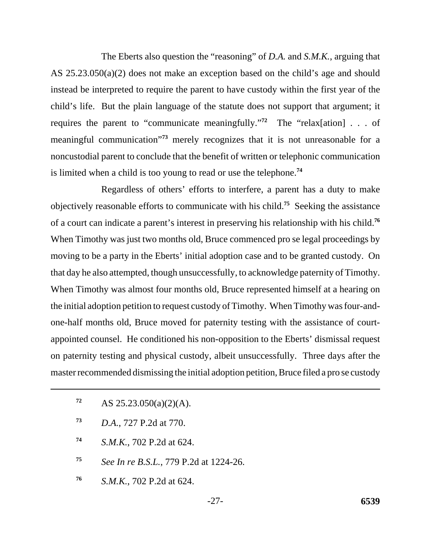The Eberts also question the "reasoning" of *D.A.* and *S.M.K.*, arguing that AS 25.23.050(a)(2) does not make an exception based on the child's age and should instead be interpreted to require the parent to have custody within the first year of the child's life. But the plain language of the statute does not support that argument; it requires the parent to "communicate meaningfully."**<sup>72</sup>** The "relax[ation] . . . of meaningful communication"**<sup>73</sup>** merely recognizes that it is not unreasonable for a noncustodial parent to conclude that the benefit of written or telephonic communication is limited when a child is too young to read or use the telephone.**<sup>74</sup>**

Regardless of others' efforts to interfere, a parent has a duty to make objectively reasonable efforts to communicate with his child.**<sup>75</sup>** Seeking the assistance of a court can indicate a parent's interest in preserving his relationship with his child.**<sup>76</sup>** When Timothy was just two months old, Bruce commenced pro se legal proceedings by moving to be a party in the Eberts' initial adoption case and to be granted custody. On that day he also attempted, though unsuccessfully, to acknowledge paternity of Timothy. When Timothy was almost four months old, Bruce represented himself at a hearing on the initial adoption petition to request custody of Timothy. When Timothy was four-andone-half months old, Bruce moved for paternity testing with the assistance of courtappointed counsel. He conditioned his non-opposition to the Eberts' dismissal request on paternity testing and physical custody, albeit unsuccessfully. Three days after the master recommended dismissing the initial adoption petition, Bruce filed a pro se custody

- 72 AS  $25.23.050(a)(2)(A)$ .
- **<sup>73</sup>***D.A.*, 727 P.2d at 770.
- **<sup>74</sup>***S.M.K.*, 702 P.2d at 624.
- **<sup>75</sup>***See In re B.S.L.*, 779 P.2d at 1224-26.
- **<sup>76</sup>***S.M.K.*, 702 P.2d at 624.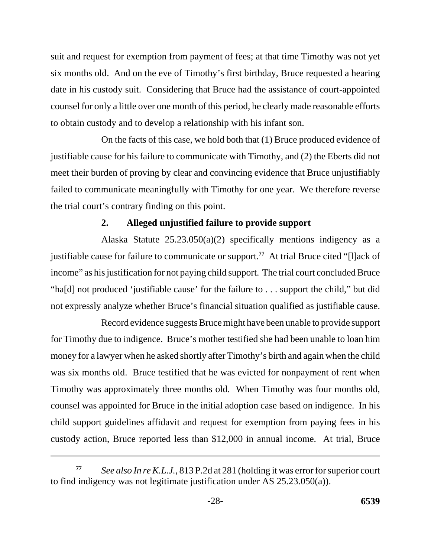suit and request for exemption from payment of fees; at that time Timothy was not yet six months old. And on the eve of Timothy's first birthday, Bruce requested a hearing date in his custody suit. Considering that Bruce had the assistance of court-appointed counsel for only a little over one month of this period, he clearly made reasonable efforts to obtain custody and to develop a relationship with his infant son.

On the facts of this case, we hold both that (1) Bruce produced evidence of justifiable cause for his failure to communicate with Timothy, and (2) the Eberts did not meet their burden of proving by clear and convincing evidence that Bruce unjustifiably failed to communicate meaningfully with Timothy for one year. We therefore reverse the trial court's contrary finding on this point.

### **2. Alleged unjustified failure to provide support**

Alaska Statute 25.23.050(a)(2) specifically mentions indigency as a justifiable cause for failure to communicate or support.**<sup>77</sup>** At trial Bruce cited "[l]ack of income" as his justification for not paying child support. The trial court concluded Bruce "ha[d] not produced 'justifiable cause' for the failure to . . . support the child," but did not expressly analyze whether Bruce's financial situation qualified as justifiable cause.

Record evidence suggests Bruce might have been unable to provide support for Timothy due to indigence. Bruce's mother testified she had been unable to loan him money for a lawyer when he asked shortly after Timothy's birth and again when the child was six months old. Bruce testified that he was evicted for nonpayment of rent when Timothy was approximately three months old. When Timothy was four months old, counsel was appointed for Bruce in the initial adoption case based on indigence. In his child support guidelines affidavit and request for exemption from paying fees in his custody action, Bruce reported less than \$12,000 in annual income. At trial, Bruce

*See also In re K.L.J.*, 813 P.2d at 281 (holding it was error for superior court to find indigency was not legitimate justification under AS 25.23.050(a)). **77**